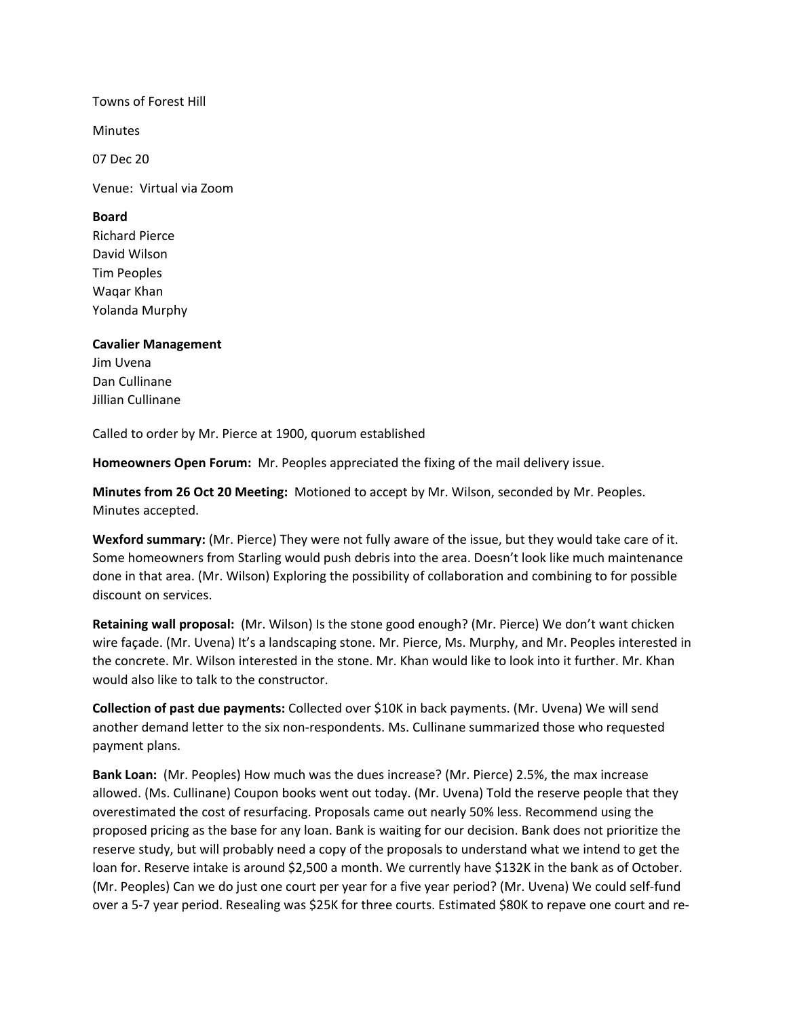## Towns of Forest Hill

**Minutes** 

07 Dec 20

Venue: Virtual via Zoom

## **Board**

Richard Pierce David Wilson Tim Peoples Waqar Khan Yolanda Murphy

## **Cavalier Management**

Jim Uvena Dan Cullinane Jillian Cullinane

Called to order by Mr. Pierce at 1900, quorum established

**Homeowners Open Forum:** Mr. Peoples appreciated the fixing of the mail delivery issue.

**Minutes from 26 Oct 20 Meeting:** Motioned to accept by Mr. Wilson, seconded by Mr. Peoples. Minutes accepted.

**Wexford summary:** (Mr. Pierce) They were not fully aware of the issue, but they would take care of it. Some homeowners from Starling would push debris into the area. Doesn't look like much maintenance done in that area. (Mr. Wilson) Exploring the possibility of collaboration and combining to for possible discount on services.

**Retaining wall proposal:** (Mr. Wilson) Is the stone good enough? (Mr. Pierce) We don't want chicken wire façade. (Mr. Uvena) It's a landscaping stone. Mr. Pierce, Ms. Murphy, and Mr. Peoples interested in the concrete. Mr. Wilson interested in the stone. Mr. Khan would like to look into it further. Mr. Khan would also like to talk to the constructor.

**Collection of past due payments:** Collected over \$10K in back payments. (Mr. Uvena) We will send another demand letter to the six non-respondents. Ms. Cullinane summarized those who requested payment plans.

**Bank Loan:** (Mr. Peoples) How much was the dues increase? (Mr. Pierce) 2.5%, the max increase allowed. (Ms. Cullinane) Coupon books went out today. (Mr. Uvena) Told the reserve people that they overestimated the cost of resurfacing. Proposals came out nearly 50% less. Recommend using the proposed pricing as the base for any loan. Bank is waiting for our decision. Bank does not prioritize the reserve study, but will probably need a copy of the proposals to understand what we intend to get the loan for. Reserve intake is around \$2,500 a month. We currently have \$132K in the bank as of October. (Mr. Peoples) Can we do just one court per year for a five year period? (Mr. Uvena) We could self-fund over a 5-7 year period. Resealing was \$25K for three courts. Estimated \$80K to repave one court and re